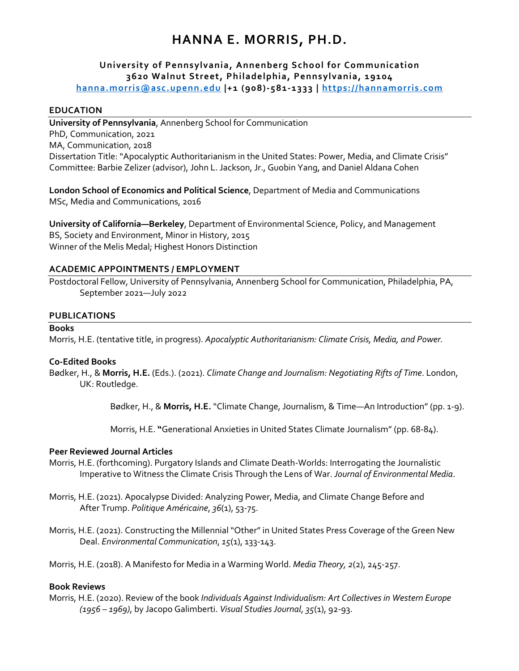# **HANNA E. MORRIS, PH.D.**

# **University of Pennsylvania, Annenberg School for Communication 3620 Walnut Street, Philadelphia, Pennsylvania, 19104**

**hanna.morris@asc.upenn.edu |+1 (908)-581-1333 | https://hannamorris.com**

#### **EDUCATION**

**University of Pennsylvania**, Annenberg School for Communication PhD, Communication, 2021 MA, Communication, 2018 Dissertation Title: "Apocalyptic Authoritarianism in the United States: Power, Media, and Climate Crisis" Committee: Barbie Zelizer (advisor), John L. Jackson, Jr., Guobin Yang, and Daniel Aldana Cohen

**London School of Economics and Political Science**, Department of Media and Communications MSc, Media and Communications, 2016

**University of California—Berkeley**, Department of Environmental Science, Policy, and Management BS, Society and Environment, Minor in History, 2015 Winner of the Melis Medal; Highest Honors Distinction

#### **ACADEMIC APPOINTMENTS / EMPLOYMENT**

Postdoctoral Fellow, University of Pennsylvania, Annenberg School for Communication, Philadelphia, PA, September 2021—July 2022

#### **PUBLICATIONS**

#### **Books**

Morris, H.E. (tentative title, in progress). *Apocalyptic Authoritarianism: Climate Crisis, Media, and Power.* 

# **Co-Edited Books**

Bødker, H., & **Morris, H.E.** (Eds.). (2021). *Climate Change and Journalism: Negotiating Rifts of Time*. London, UK: Routledge.

Bødker, H., & **Morris, H.E.** "Climate Change, Journalism, & Time—An Introduction" (pp. 1-9).

Morris, H.E. **"**Generational Anxieties in United States Climate Journalism" (pp. 68-84).

#### **Peer Reviewed Journal Articles**

- Morris, H.E. (forthcoming). Purgatory Islands and Climate Death-Worlds: Interrogating the Journalistic Imperative to Witness the Climate Crisis Through the Lens of War. *Journal of Environmental Media*.
- Morris, H.E. (2021). Apocalypse Divided: Analyzing Power, Media, and Climate Change Before and After Trump. *Politique Américaine*, *36*(1), 53-75.
- Morris, H.E. (2021). Constructing the Millennial "Other" in United States Press Coverage of the Green New Deal. *Environmental Communication*, *15*(1), 133-143.

Morris, H.E. (2018). A Manifesto for Media in a Warming World. *Media Theory, 2*(2), 245-257.

#### **Book Reviews**

Morris, H.E. (2020). Review of the book *Individuals Against Individualism: Art Collectives in Western Europe (1956 – 1969)*, by Jacopo Galimberti. *Visual Studies Journal*, *35*(1), 92-93.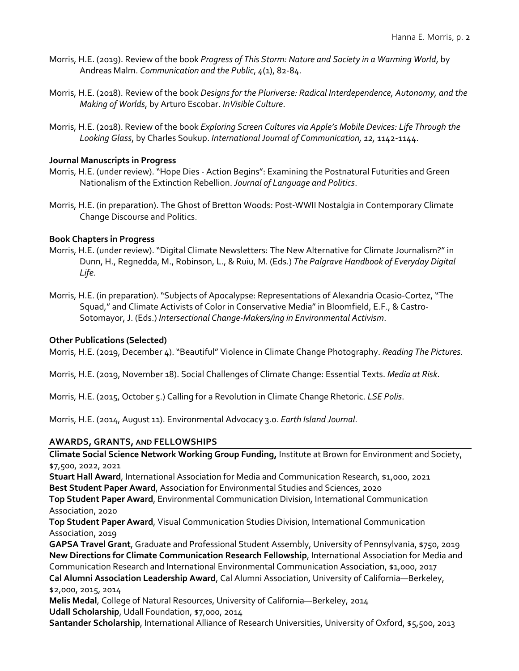- Morris, H.E. (2019). Review of the book *Progress of This Storm: Nature and Society in a Warming World*, by Andreas Malm. *Communication and the Public*, *4*(1), 82-84.
- Morris, H.E. (2018). Review of the book *Designs for the Pluriverse: Radical Interdependence, Autonomy, and the Making of Worlds*, by Arturo Escobar. *InVisible Culture*.
- Morris, H.E. (2018). Review of the book *Exploring Screen Cultures via Apple's Mobile Devices: Life Through the Looking Glass*, by Charles Soukup. *International Journal of Communication, 12,* 1142-1144.

# **Journal Manuscripts in Progress**

- Morris, H.E. (under review). "Hope Dies Action Begins": Examining the Postnatural Futurities and Green Nationalism of the Extinction Rebellion. *Journal of Language and Politics*.
- Morris, H.E. (in preparation). The Ghost of Bretton Woods: Post-WWII Nostalgia in Contemporary Climate Change Discourse and Politics.

# **Book Chapters in Progress**

- Morris, H.E. (under review). "Digital Climate Newsletters: The New Alternative for Climate Journalism?" in Dunn, H., Regnedda, M., Robinson, L., & Ruiu, M. (Eds.) *The Palgrave Handbook of Everyday Digital Life.*
- Morris, H.E. (in preparation). "Subjects of Apocalypse: Representations of Alexandria Ocasio-Cortez, "The Squad," and Climate Activists of Color in Conservative Media" in Bloomfield, E.F., & Castro-Sotomayor, J. (Eds.) *Intersectional Change-Makers/ing in Environmental Activism*.

# **Other Publications (Selected)**

Morris, H.E. (2019, December 4). "Beautiful" Violence in Climate Change Photography. *Reading The Pictures*.

Morris, H.E. (2019, November 18). Social Challenges of Climate Change: Essential Texts. *Media at Risk*.

Morris, H.E. (2015, October 5.) Calling for a Revolution in Climate Change Rhetoric. *LSE Polis*.

Morris, H.E. (2014, August 11). Environmental Advocacy 3.0. *Earth Island Journal*.

# **AWARDS, GRANTS, AND FELLOWSHIPS**

**Climate Social Science Network Working Group Funding,** Institute at Brown for Environment and Society, \$7,500, 2022, 2021

**Stuart Hall Award**, International Association for Media and Communication Research, \$1,000, 2021 **Best Student Paper Award**, Association for Environmental Studies and Sciences, 2020

**Top Student Paper Award**, Environmental Communication Division, International Communication Association, 2020

**Top Student Paper Award**, Visual Communication Studies Division, International Communication Association, 2019

**GAPSA Travel Grant**, Graduate and Professional Student Assembly, University of Pennsylvania, \$750, 2019 **New Directions for Climate Communication Research Fellowship**, International Association for Media and Communication Research and International Environmental Communication Association, \$1,000, 2017 **Cal Alumni Association Leadership Award**, Cal Alumni Association, University of California—Berkeley, \$2,000, 2015, 2014

**Melis Medal**, College of Natural Resources, University of California—Berkeley, 2014 **Udall Scholarship**, Udall Foundation, \$7,000, 2014

**Santander Scholarship**, International Alliance of Research Universities, University of Oxford, \$5,500, 2013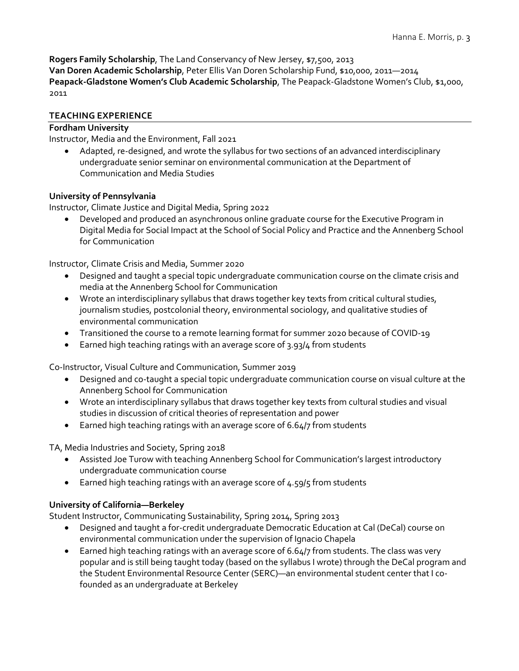**Rogers Family Scholarship**, The Land Conservancy of New Jersey, \$7,500, 2013 **Van Doren Academic Scholarship**, Peter Ellis Van Doren Scholarship Fund, \$10,000, 2011—2014 Peapack-Gladstone Women's Club Academic Scholarship, The Peapack-Gladstone Women's Club, \$1,000, 2011

# **TEACHING EXPERIENCE**

# **Fordham University**

Instructor, Media and the Environment, Fall 2021

• Adapted, re-designed, and wrote the syllabus for two sections of an advanced interdisciplinary undergraduate senior seminar on environmental communication at the Department of Communication and Media Studies

# **University of Pennsylvania**

Instructor, Climate Justice and Digital Media, Spring 2022

• Developed and produced an asynchronous online graduate course for the Executive Program in Digital Media for Social Impact at the School of Social Policy and Practice and the Annenberg School for Communication

Instructor, Climate Crisis and Media, Summer 2020

- Designed and taught a special topic undergraduate communication course on the climate crisis and media at the Annenberg School for Communication
- Wrote an interdisciplinary syllabus that draws together key texts from critical cultural studies, journalism studies, postcolonial theory, environmental sociology, and qualitative studies of environmental communication
- Transitioned the course to a remote learning format for summer 2020 because of COVID-19
- Earned high teaching ratings with an average score of 3.93/4 from students

Co-Instructor, Visual Culture and Communication, Summer 2019

- Designed and co-taught a special topic undergraduate communication course on visual culture at the Annenberg School for Communication
- Wrote an interdisciplinary syllabus that draws together key texts from cultural studies and visual studies in discussion of critical theories of representation and power
- Earned high teaching ratings with an average score of 6.64/7 from students

TA, Media Industries and Society, Spring 2018

- Assisted Joe Turow with teaching Annenberg School for Communication's largest introductory undergraduate communication course
- Earned high teaching ratings with an average score of 4.59/5 from students

# **University of California—Berkeley**

Student Instructor, Communicating Sustainability, Spring 2014, Spring 2013

- Designed and taught a for-credit undergraduate Democratic Education at Cal (DeCal) course on environmental communication under the supervision of Ignacio Chapela
- Earned high teaching ratings with an average score of 6.64/7 from students. The class was very popular and is still being taught today (based on the syllabus I wrote) through the DeCal program and the Student Environmental Resource Center (SERC)—an environmental student center that I cofounded as an undergraduate at Berkeley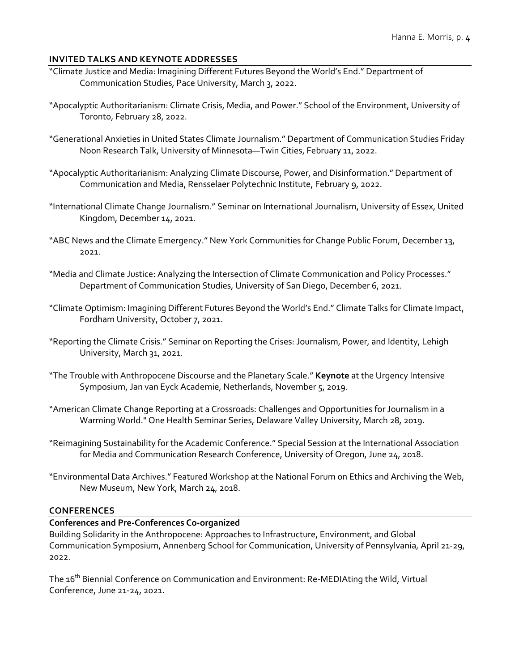# **INVITED TALKS AND KEYNOTE ADDRESSES**

- "Climate Justice and Media: Imagining Different Futures Beyond the World's End." Department of Communication Studies, Pace University, March 3, 2022.
- "Apocalyptic Authoritarianism: Climate Crisis, Media, and Power." School of the Environment, University of Toronto, February 28, 2022.
- "Generational Anxieties in United States Climate Journalism." Department of Communication Studies Friday Noon Research Talk, University of Minnesota—Twin Cities, February 11, 2022.
- "Apocalyptic Authoritarianism: Analyzing Climate Discourse, Power, and Disinformation." Department of Communication and Media, Rensselaer Polytechnic Institute, February 9, 2022.
- "International Climate Change Journalism." Seminar on International Journalism, University of Essex, United Kingdom, December 14, 2021.
- "ABC News and the Climate Emergency." New York Communities for Change Public Forum, December 13, 2021.
- "Media and Climate Justice: Analyzing the Intersection of Climate Communication and Policy Processes." Department of Communication Studies, University of San Diego, December 6, 2021.
- "Climate Optimism: Imagining Different Futures Beyond the World's End." Climate Talks for Climate Impact, Fordham University, October 7, 2021.
- "Reporting the Climate Crisis." Seminar on Reporting the Crises: Journalism, Power, and Identity, Lehigh University, March 31, 2021.
- "The Trouble with Anthropocene Discourse and the Planetary Scale." **Keynote** at the Urgency Intensive Symposium, Jan van Eyck Academie, Netherlands, November 5, 2019.
- "American Climate Change Reporting at a Crossroads: Challenges and Opportunities for Journalism in a Warming World." One Health Seminar Series, Delaware Valley University, March 28, 2019.
- "Reimagining Sustainability for the Academic Conference." Special Session at the International Association for Media and Communication Research Conference, University of Oregon, June 24, 2018.
- "Environmental Data Archives." Featured Workshop at the National Forum on Ethics and Archiving the Web, New Museum, New York, March 24, 2018.

# **CONFERENCES**

# **Conferences and Pre-Conferences Co-organized**

Building Solidarity in the Anthropocene: Approaches to Infrastructure, Environment, and Global Communication Symposium, Annenberg School for Communication, University of Pennsylvania, April 21-29, 2022.

The 16<sup>th</sup> Biennial Conference on Communication and Environment: Re-MEDIAting the Wild, Virtual Conference, June 21-24, 2021.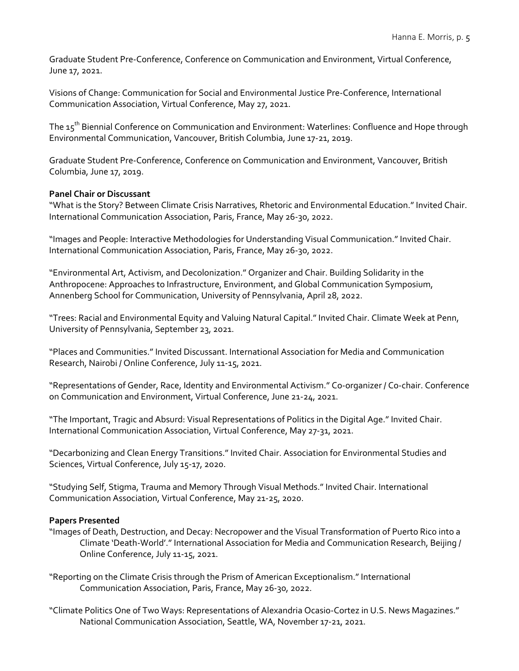Graduate Student Pre-Conference, Conference on Communication and Environment, Virtual Conference, June 17, 2021.

Visions of Change: Communication for Social and Environmental Justice Pre-Conference, International Communication Association, Virtual Conference, May 27, 2021.

The 15th Biennial Conference on Communication and Environment: Waterlines: Confluence and Hope through Environmental Communication, Vancouver, British Columbia, June 17-21, 2019.

Graduate Student Pre-Conference, Conference on Communication and Environment, Vancouver, British Columbia, June 17, 2019.

# **Panel Chair or Discussant**

"What is the Story? Between Climate Crisis Narratives, Rhetoric and Environmental Education." Invited Chair. International Communication Association, Paris, France, May 26-30, 2022.

"Images and People: Interactive Methodologies for Understanding Visual Communication." Invited Chair. International Communication Association, Paris, France, May 26-30, 2022.

"Environmental Art, Activism, and Decolonization." Organizer and Chair. Building Solidarity in the Anthropocene: Approaches to Infrastructure, Environment, and Global Communication Symposium, Annenberg School for Communication, University of Pennsylvania, April 28, 2022.

"Trees: Racial and Environmental Equity and Valuing Natural Capital." Invited Chair. Climate Week at Penn, University of Pennsylvania, September 23, 2021.

"Places and Communities." Invited Discussant. International Association for Media and Communication Research, Nairobi / Online Conference, July 11-15, 2021.

"Representations of Gender, Race, Identity and Environmental Activism." Co-organizer / Co-chair. Conference on Communication and Environment, Virtual Conference, June 21-24, 2021.

"The Important, Tragic and Absurd: Visual Representations of Politics in the Digital Age." Invited Chair. International Communication Association, Virtual Conference, May 27-31, 2021.

"Decarbonizing and Clean Energy Transitions." Invited Chair. Association for Environmental Studies and Sciences, Virtual Conference, July 15-17, 2020.

"Studying Self, Stigma, Trauma and Memory Through Visual Methods." Invited Chair. International Communication Association, Virtual Conference, May 21-25, 2020.

# **Papers Presented**

- "Images of Death, Destruction, and Decay: Necropower and the Visual Transformation of Puerto Rico into a Climate 'Death-World'." International Association for Media and Communication Research, Beijing / Online Conference, July 11-15, 2021.
- "Reporting on the Climate Crisis through the Prism of American Exceptionalism." International Communication Association, Paris, France, May 26-30, 2022.
- "Climate Politics One of Two Ways: Representations of Alexandria Ocasio-Cortez in U.S. News Magazines." National Communication Association, Seattle, WA, November 17-21, 2021.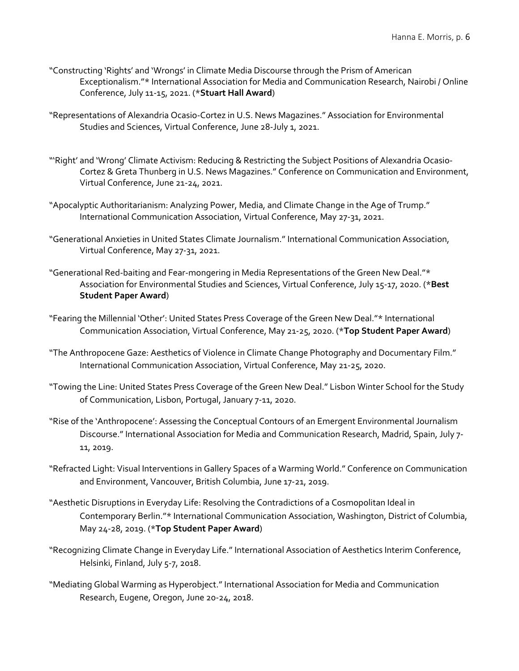- "Constructing 'Rights' and 'Wrongs' in Climate Media Discourse through the Prism of American Exceptionalism."\* International Association for Media and Communication Research, Nairobi / Online Conference, July 11-15, 2021. (\***Stuart Hall Award**)
- "Representations of Alexandria Ocasio-Cortez in U.S. News Magazines." Association for Environmental Studies and Sciences, Virtual Conference, June 28-July 1, 2021.
- "'Right' and 'Wrong' Climate Activism: Reducing & Restricting the Subject Positions of Alexandria Ocasio-Cortez & Greta Thunberg in U.S. News Magazines." Conference on Communication and Environment, Virtual Conference, June 21-24, 2021.
- "Apocalyptic Authoritarianism: Analyzing Power, Media, and Climate Change in the Age of Trump." International Communication Association, Virtual Conference, May 27-31, 2021.
- "Generational Anxieties in United States Climate Journalism." International Communication Association, Virtual Conference, May 27-31, 2021.
- "Generational Red-baiting and Fear-mongering in Media Representations of the Green New Deal."\* Association for Environmental Studies and Sciences, Virtual Conference, July 15-17, 2020. (\***Best Student Paper Award**)
- "Fearing the Millennial 'Other': United States Press Coverage of the Green New Deal."\* International Communication Association, Virtual Conference, May 21-25, 2020. (\***Top Student Paper Award**)
- "The Anthropocene Gaze: Aesthetics of Violence in Climate Change Photography and Documentary Film." International Communication Association, Virtual Conference, May 21-25, 2020.
- "Towing the Line: United States Press Coverage of the Green New Deal." Lisbon Winter School for the Study of Communication, Lisbon, Portugal, January 7-11, 2020.
- "Rise of the 'Anthropocene': Assessing the Conceptual Contours of an Emergent Environmental Journalism Discourse." International Association for Media and Communication Research, Madrid, Spain, July 7- 11, 2019.
- "Refracted Light: Visual Interventions in Gallery Spaces of a Warming World." Conference on Communication and Environment, Vancouver, British Columbia, June 17-21, 2019.
- "Aesthetic Disruptions in Everyday Life: Resolving the Contradictions of a Cosmopolitan Ideal in Contemporary Berlin."\* International Communication Association, Washington, District of Columbia, May 24-28, 2019. (\***Top Student Paper Award**)
- "Recognizing Climate Change in Everyday Life." International Association of Aesthetics Interim Conference, Helsinki, Finland, July 5-7, 2018.
- "Mediating Global Warming as Hyperobject." International Association for Media and Communication Research, Eugene, Oregon, June 20-24, 2018.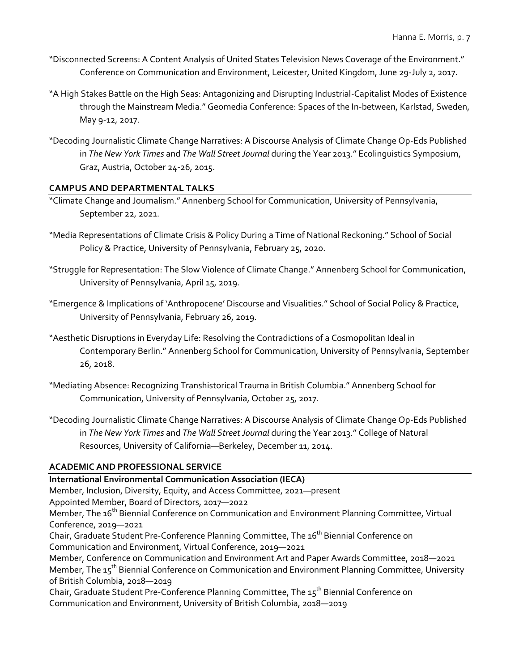- "Disconnected Screens: A Content Analysis of United States Television News Coverage of the Environment." Conference on Communication and Environment, Leicester, United Kingdom, June 29-July 2, 2017.
- "A High Stakes Battle on the High Seas: Antagonizing and Disrupting Industrial-Capitalist Modes of Existence through the Mainstream Media." Geomedia Conference: Spaces of the In-between, Karlstad, Sweden, May 9-12, 2017.
- "Decoding Journalistic Climate Change Narratives: A Discourse Analysis of Climate Change Op-Eds Published in *The New York Times* and *The Wall Street Journal* during the Year 2013." Ecolinguistics Symposium, Graz, Austria, October 24-26, 2015.

# **CAMPUS AND DEPARTMENTAL TALKS**

- "Climate Change and Journalism." Annenberg School for Communication, University of Pennsylvania, September 22, 2021.
- "Media Representations of Climate Crisis & Policy During a Time of National Reckoning." School of Social Policy & Practice, University of Pennsylvania, February 25, 2020.
- "Struggle for Representation: The Slow Violence of Climate Change." Annenberg School for Communication, University of Pennsylvania, April 15, 2019.
- "Emergence & Implications of 'Anthropocene' Discourse and Visualities." School of Social Policy & Practice, University of Pennsylvania, February 26, 2019.
- "Aesthetic Disruptions in Everyday Life: Resolving the Contradictions of a Cosmopolitan Ideal in Contemporary Berlin." Annenberg School for Communication, University of Pennsylvania, September 26, 2018.
- "Mediating Absence: Recognizing Transhistorical Trauma in British Columbia." Annenberg School for Communication, University of Pennsylvania, October 25, 2017.
- "Decoding Journalistic Climate Change Narratives: A Discourse Analysis of Climate Change Op-Eds Published in *The New York Times* and *The Wall Street Journal* during the Year 2013." College of Natural Resources, University of California—Berkeley, December 11, 2014.

# **ACADEMIC AND PROFESSIONAL SERVICE**

**International Environmental Communication Association (IECA)** Member, Inclusion, Diversity, Equity, and Access Committee, 2021—present Appointed Member, Board of Directors, 2017—2022 Member, The 16<sup>th</sup> Biennial Conference on Communication and Environment Planning Committee, Virtual Conference, 2019—2021 Chair, Graduate Student Pre-Conference Planning Committee, The 16<sup>th</sup> Biennial Conference on Communication and Environment, Virtual Conference, 2019—2021 Member, Conference on Communication and Environment Art and Paper Awards Committee, 2018—2021 Member, The 15<sup>th</sup> Biennial Conference on Communication and Environment Planning Committee, University of British Columbia, 2018—2019 Chair, Graduate Student Pre-Conference Planning Committee, The 15<sup>th</sup> Biennial Conference on Communication and Environment, University of British Columbia, 2018—2019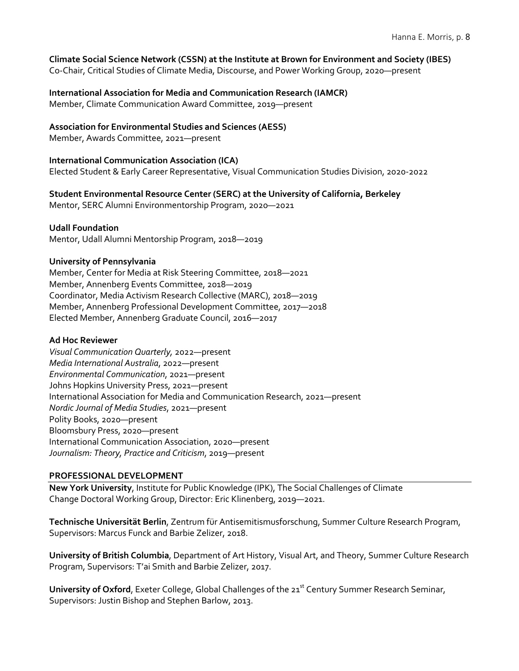# **Climate Social Science Network (CSSN) at the Institute at Brown for Environment and Society (IBES)**

Co-Chair, Critical Studies of Climate Media, Discourse, and Power Working Group, 2020—present

# **International Association for Media and Communication Research (IAMCR)**

Member, Climate Communication Award Committee, 2019—present

# **Association for Environmental Studies and Sciences (AESS)**

Member, Awards Committee, 2021—present

# **International Communication Association (ICA)** Elected Student & Early Career Representative, Visual Communication Studies Division, 2020-2022

# **Student Environmental Resource Center (SERC) at the University of California, Berkeley**

Mentor, SERC Alumni Environmentorship Program, 2020—2021

# **Udall Foundation**

Mentor, Udall Alumni Mentorship Program, 2018—2019

# **University of Pennsylvania**

Member, Center for Media at Risk Steering Committee, 2018—2021 Member, Annenberg Events Committee, 2018—2019 Coordinator, Media Activism Research Collective (MARC), 2018—2019 Member, Annenberg Professional Development Committee, 2017—2018 Elected Member, Annenberg Graduate Council, 2016—2017

# **Ad Hoc Reviewer**

*Visual Communication Quarterly,* 2022—present *Media International Australia*, 2022—present *Environmental Communication*, 2021—present Johns Hopkins University Press, 2021—present International Association for Media and Communication Research, 2021—present *Nordic Journal of Media Studies*, 2021—present Polity Books, 2020—present Bloomsbury Press, 2020—present International Communication Association, 2020—present *Journalism: Theory, Practice and Criticism*, 2019—present

# **PROFESSIONAL DEVELOPMENT**

**New York University**, Institute for Public Knowledge (IPK), The Social Challenges of Climate Change Doctoral Working Group, Director: Eric Klinenberg, 2019—2021.

**Technische Universität Berlin**, Zentrum für Antisemitismusforschung, Summer Culture Research Program, Supervisors: Marcus Funck and Barbie Zelizer, 2018.

**University of British Columbia**, Department of Art History, Visual Art, and Theory, Summer Culture Research Program, Supervisors: T'ai Smith and Barbie Zelizer, 2017.

University of Oxford, Exeter College, Global Challenges of the 21<sup>st</sup> Century Summer Research Seminar, Supervisors: Justin Bishop and Stephen Barlow, 2013.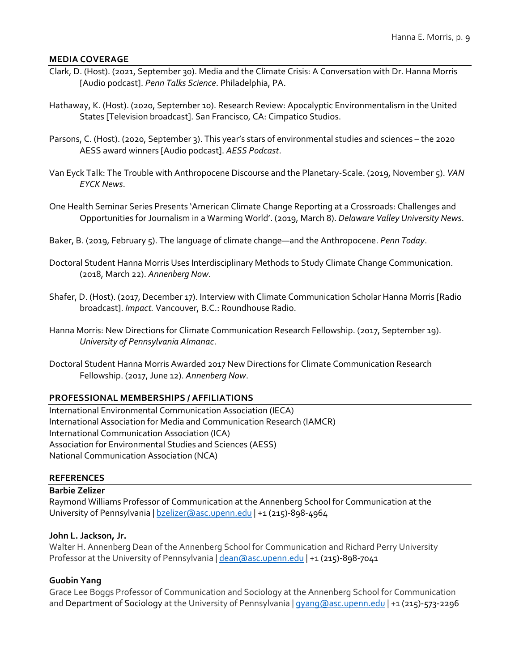#### **MEDIA COVERAGE**

- Clark, D. (Host). (2021, September 30). Media and the Climate Crisis: A Conversation with Dr. Hanna Morris [Audio podcast]. *Penn Talks Science*. Philadelphia, PA.
- Hathaway, K. (Host). (2020, September 10). Research Review: Apocalyptic Environmentalism in the United States [Television broadcast]. San Francisco, CA: Cimpatico Studios.
- Parsons, C. (Host). (2020, September 3). This year's stars of environmental studies and sciences the 2020 AESS award winners [Audio podcast]. *AESS Podcast*.
- Van Eyck Talk: The Trouble with Anthropocene Discourse and the Planetary-Scale. (2019, November 5). *VAN EYCK News*.
- One Health Seminar Series Presents 'American Climate Change Reporting at a Crossroads: Challenges and Opportunities for Journalism in a Warming World'. (2019, March 8). *Delaware Valley University News*.
- Baker, B. (2019, February 5). The language of climate change—and the Anthropocene. *Penn Today*.
- Doctoral Student Hanna Morris Uses Interdisciplinary Methods to Study Climate Change Communication. (2018, March 22). *Annenberg Now*.
- Shafer, D. (Host). (2017, December 17). Interview with Climate Communication Scholar Hanna Morris [Radio broadcast]. *Impact.* Vancouver, B.C.: Roundhouse Radio.
- Hanna Morris: New Directions for Climate Communication Research Fellowship. (2017, September 19). *University of Pennsylvania Almanac*.
- Doctoral Student Hanna Morris Awarded 2017 New Directions for Climate Communication Research Fellowship. (2017, June 12). *Annenberg Now*.

# **PROFESSIONAL MEMBERSHIPS / AFFILIATIONS**

International Environmental Communication Association (IECA) International Association for Media and Communication Research (IAMCR) International Communication Association (ICA) Association for Environmental Studies and Sciences (AESS) National Communication Association (NCA)

# **REFERENCES**

# **Barbie Zelizer**

Raymond Williams Professor of Communication at the Annenberg School for Communication at the University of Pennsylvania | bzelizer@asc.upenn.edu | +1 (215)-898-4964

#### **John L. Jackson, Jr.**

Walter H. Annenberg Dean of the Annenberg School for Communication and Richard Perry University Professor at the University of Pennsylvania | dean@asc.upenn.edu | +1 (215)-898-7041

#### **Guobin Yang**

Grace Lee Boggs Professor of Communication and Sociology at the Annenberg School for Communication and Department of Sociology at the University of Pennsylvania | gyang@asc.upenn.edu | +1 (215)-573-2296